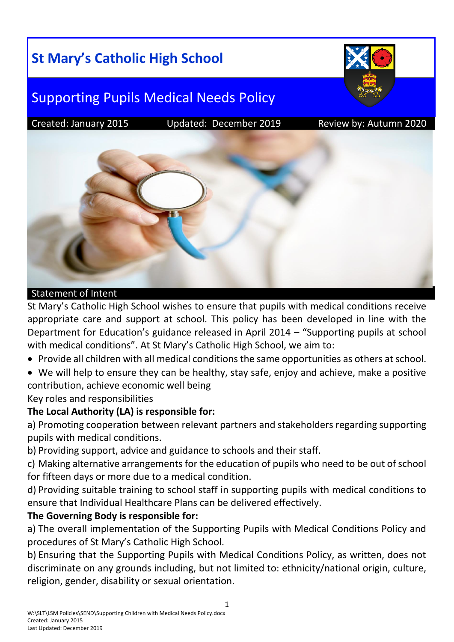# **St Mary's Catholic High School**



## Supporting Pupils Medical Needs Policy

Created: January 2015 Updated: December 2019 Review by: Autumn 2020



#### Statement of Intent

St Mary's Catholic High School wishes to ensure that pupils with medical conditions receive appropriate care and support at school. This policy has been developed in line with the Department for Education's guidance released in April 2014 – "Supporting pupils at school with medical conditions". At St Mary's Catholic High School, we aim to:

- Provide all children with all medical conditions the same opportunities as others at school.
- We will help to ensure they can be healthy, stay safe, enjoy and achieve, make a positive contribution, achieve economic well being

Key roles and responsibilities

## **The Local Authority (LA) is responsible for:**

a) Promoting cooperation between relevant partners and stakeholders regarding supporting pupils with medical conditions.

b) Providing support, advice and guidance to schools and their staff.

c) Making alternative arrangements for the education of pupils who need to be out of school for fifteen days or more due to a medical condition.

d) Providing suitable training to school staff in supporting pupils with medical conditions to ensure that Individual Healthcare Plans can be delivered effectively.

## **The Governing Body is responsible for:**

a) The overall implementation of the Supporting Pupils with Medical Conditions Policy and procedures of St Mary's Catholic High School.

b) Ensuring that the Supporting Pupils with Medical Conditions Policy, as written, does not discriminate on any grounds including, but not limited to: ethnicity/national origin, culture, religion, gender, disability or sexual orientation.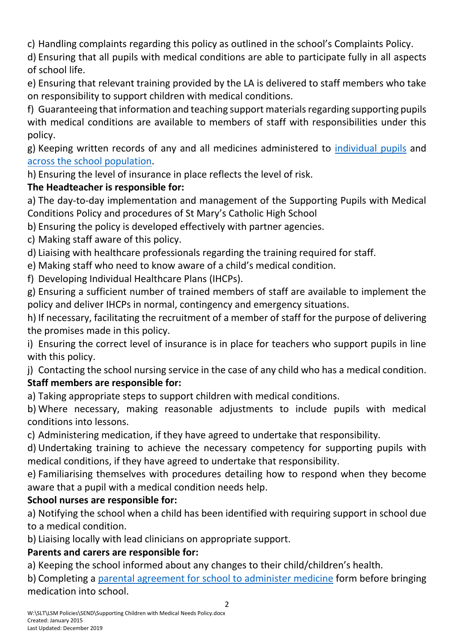c) Handling complaints regarding this policy as outlined in the school's Complaints Policy.

d) Ensuring that all pupils with medical conditions are able to participate fully in all aspects of school life.

e) Ensuring that relevant training provided by the LA is delivered to staff members who take on responsibility to support children with medical conditions.

f) Guaranteeing that information and teaching support materials regarding supporting pupils with medical conditions are available to members of staff with responsibilities under this policy.

g) Keeping written records of any and all medicines administered to [individual pupils](file://///lsmdomain.local/LSMShared/DEPARTMENTS/Policies/Health%20&%20Safety/Supporting%20children%20with%20medical%20conditions.docx%23_Appendix_3_-) and [across the school population.](file://///lsmdomain.local/LSMShared/DEPARTMENTS/Policies/Health%20&%20Safety/Supporting%20children%20with%20medical%20conditions.docx%23_Appendix_4_-)

h) Ensuring the level of insurance in place reflects the level of risk.

## **The Headteacher is responsible for:**

a) The day-to-day implementation and management of the Supporting Pupils with Medical Conditions Policy and procedures of St Mary's Catholic High School

b) Ensuring the policy is developed effectively with partner agencies.

c) Making staff aware of this policy.

d) Liaising with healthcare professionals regarding the training required for staff.

e) Making staff who need to know aware of a child's medical condition.

f) Developing Individual Healthcare Plans (IHCPs).

g) Ensuring a sufficient number of trained members of staff are available to implement the policy and deliver IHCPs in normal, contingency and emergency situations.

h) If necessary, facilitating the recruitment of a member of staff for the purpose of delivering the promises made in this policy.

i) Ensuring the correct level of insurance is in place for teachers who support pupils in line with this policy.

j) Contacting the school nursing service in the case of any child who has a medical condition. **Staff members are responsible for:**

a) Taking appropriate steps to support children with medical conditions.

b) Where necessary, making reasonable adjustments to include pupils with medical conditions into lessons.

c) Administering medication, if they have agreed to undertake that responsibility.

d) Undertaking training to achieve the necessary competency for supporting pupils with medical conditions, if they have agreed to undertake that responsibility.

e) Familiarising themselves with procedures detailing how to respond when they become aware that a pupil with a medical condition needs help.

## **School nurses are responsible for:**

a) Notifying the school when a child has been identified with requiring support in school due to a medical condition.

b) Liaising locally with lead clinicians on appropriate support.

## **Parents and carers are responsible for:**

a) Keeping the school informed about any changes to their child/children's health.

b) Completing a [parental agreement for school to administer medicine](file://///lsmdomain.local/LSMShared/DEPARTMENTS/Policies/Health%20&%20Safety/Supporting%20children%20with%20medical%20conditions.docx%23_Appendix_2_-) form before bringing medication into school.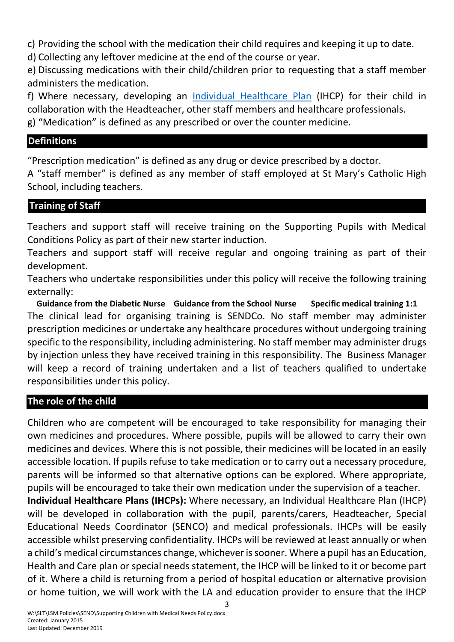c) Providing the school with the medication their child requires and keeping it up to date.

d) Collecting any leftover medicine at the end of the course or year.

e) Discussing medications with their child/children prior to requesting that a staff member administers the medication.

f) Where necessary, developing an [Individual Healthcare Plan](file://///lsmdomain.local/LSMShared/DEPARTMENTS/Policies/Health%20&%20Safety/Supporting%20children%20with%20medical%20conditions.docx%23_Appendix_1_–) (IHCP) for their child in collaboration with the Headteacher, other staff members and healthcare professionals.

g) "Medication" is defined as any prescribed or over the counter medicine.

## **Definitions**

"Prescription medication" is defined as any drug or device prescribed by a doctor.

A "staff member" is defined as any member of staff employed at St Mary's Catholic High School, including teachers.

## **Training of Staff**

Teachers and support staff will receive training on the Supporting Pupils with Medical Conditions Policy as part of their new starter induction.

Teachers and support staff will receive regular and ongoing training as part of their development.

Teachers who undertake responsibilities under this policy will receive the following training externally:

**Guidance from the Diabetic Nurse Guidance from the School Nurse Specific medical training 1:1** The clinical lead for organising training is SENDCo. No staff member may administer prescription medicines or undertake any healthcare procedures without undergoing training specific to the responsibility, including administering. No staff member may administer drugs by injection unless they have received training in this responsibility. The Business Manager will keep a record of training undertaken and a list of teachers qualified to undertake responsibilities under this policy.

## **The role of the child**

Children who are competent will be encouraged to take responsibility for managing their own medicines and procedures. Where possible, pupils will be allowed to carry their own medicines and devices. Where this is not possible, their medicines will be located in an easily accessible location. If pupils refuse to take medication or to carry out a necessary procedure, parents will be informed so that alternative options can be explored. Where appropriate, pupils will be encouraged to take their own medication under the supervision of a teacher. **Individual Healthcare Plans (IHCPs):** Where necessary, an Individual Healthcare Plan (IHCP)

will be developed in collaboration with the pupil, parents/carers, Headteacher, Special Educational Needs Coordinator (SENCO) and medical professionals. IHCPs will be easily accessible whilst preserving confidentiality. IHCPs will be reviewed at least annually or when a child's medical circumstances change, whichever is sooner. Where a pupil has an Education, Health and Care plan or special needs statement, the IHCP will be linked to it or become part of it. Where a child is returning from a period of hospital education or alternative provision or home tuition, we will work with the LA and education provider to ensure that the IHCP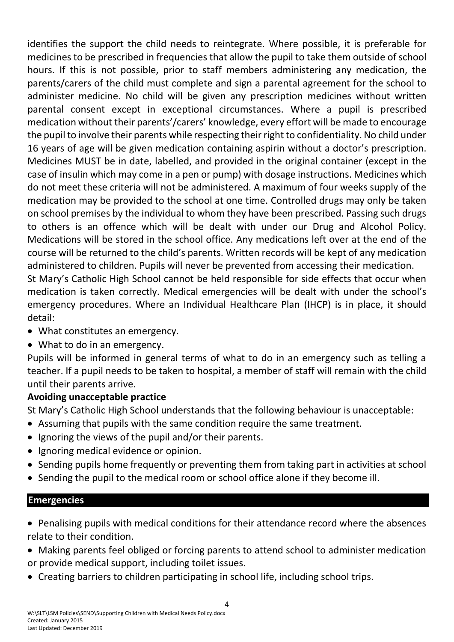identifies the support the child needs to reintegrate. Where possible, it is preferable for medicines to be prescribed in frequencies that allow the pupil to take them outside of school hours. If this is not possible, prior to staff members administering any medication, the parents/carers of the child must complete and sign a [parental agreement for the school to](file://///lsmdomain.local/LSMShared/DEPARTMENTS/Policies/Health%20&%20Safety/Supporting%20children%20with%20medical%20conditions.docx%23_Appendix_2_-)  [administer medicine.](file://///lsmdomain.local/LSMShared/DEPARTMENTS/Policies/Health%20&%20Safety/Supporting%20children%20with%20medical%20conditions.docx%23_Appendix_2_-) No child will be given any prescription medicines without written parental consent except in exceptional circumstances. Where a pupil is prescribed medication without their parents'/carers' knowledge, every effort will be made to encourage the pupil to involve their parents while respecting their right to confidentiality. No child under 16 years of age will be given medication containing aspirin without a doctor's prescription. Medicines MUST be in date, labelled, and provided in the original container (except in the case of insulin which may come in a pen or pump) with dosage instructions. Medicines which do not meet these criteria will not be administered. A maximum of four weeks supply of the medication may be provided to the school at one time. Controlled drugs may only be taken on school premises by the individual to whom they have been prescribed. Passing such drugs to others is an offence which will be dealt with under our Drug and Alcohol Policy. Medications will be stored in the school office. Any medications left over at the end of the course will be returned to the child's parents. Written records will be kept of any medication administered to children. Pupils will never be prevented from accessing their medication. St Mary's Catholic High School cannot be held responsible for side effects that occur when

medication is taken correctly. Medical emergencies will be dealt with under the school's emergency procedures. Where an Individual Healthcare Plan (IHCP) is in place, it should detail:

- What constitutes an emergency.
- What to do in an emergency.

Pupils will be informed in general terms of what to do in an emergency such as telling a teacher. If a pupil needs to be taken to hospital, a member of staff will remain with the child until their parents arrive.

## **Avoiding unacceptable practice**

St Mary's Catholic High School understands that the following behaviour is unacceptable:

- Assuming that pupils with the same condition require the same treatment.
- $\bullet$  Ignoring the views of the pupil and/or their parents.
- Ignoring medical evidence or opinion.
- Sending pupils home frequently or preventing them from taking part in activities at school
- Sending the pupil to the medical room or school office alone if they become ill.

## **Emergencies**

- Penalising pupils with medical conditions for their attendance record where the absences relate to their condition.
- Making parents feel obliged or forcing parents to attend school to administer medication or provide medical support, including toilet issues.
- Creating barriers to children participating in school life, including school trips.